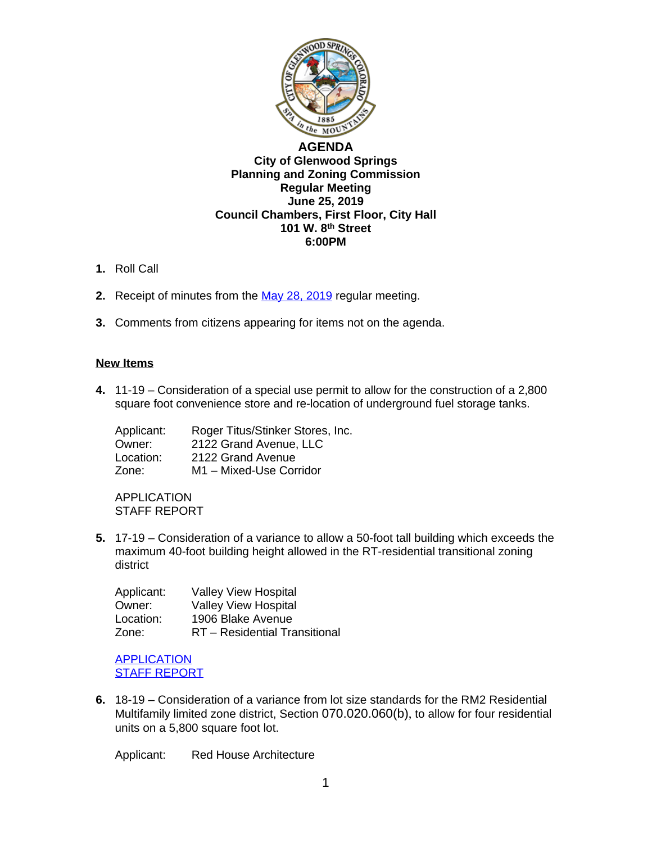

## **[AGENDA](http://www.ci.glenwood-springs.co.us/) [City of Glenwood Springs](http://www.ci.glenwood-springs.co.us/) [Planning and Zoning Commission](http://www.ci.glenwood-springs.co.us/) [Regular Meeting](http://www.ci.glenwood-springs.co.us/) [June 25, 2019](http://www.ci.glenwood-springs.co.us/) [Council Chambers, First Floor, City Hall](http://www.ci.glenwood-springs.co.us/) [101 W. 8](http://www.ci.glenwood-springs.co.us/)[th](http://www.ci.glenwood-springs.co.us/) [Street](http://www.ci.glenwood-springs.co.us/) [6:00PM](http://www.ci.glenwood-springs.co.us/)**

- **1.** [Roll Call](http://www.ci.glenwood-springs.co.us/)
- **2.** [Receipt of](http://www.ci.glenwood-springs.co.us/) [minutes from the](http://www.ci.glenwood-springs.co.us/) [May 28, 2019 regular meeting.](https://www.gwsco.gov/DocumentCenter/View/5681/pz-mins-5-28-19)
- **3.** [Comments from citizens appearing for items not on the agenda.](https://www.gwsco.gov/DocumentCenter/View/5681/pz-mins-5-28-19)

## **[New Items](https://www.gwsco.gov/DocumentCenter/View/5681/pz-mins-5-28-19)**

**4.** 11-19 – [Consideration](https://www.gwsco.gov/DocumentCenter/View/5681/pz-mins-5-28-19) of a special use permit to allow for [the](https://www.gwsco.gov/DocumentCenter/View/5681/pz-mins-5-28-19) [construction](https://www.gwsco.gov/DocumentCenter/View/5681/pz-mins-5-28-19) of a 2,800 square foot [convenience](https://www.gwsco.gov/DocumentCenter/View/5681/pz-mins-5-28-19) store and re[-](https://www.gwsco.gov/DocumentCenter/View/5681/pz-mins-5-28-19)location of [underground](https://www.gwsco.gov/DocumentCenter/View/5681/pz-mins-5-28-19) fuel storage tanks.

[Applicant:](https://www.gwsco.gov/DocumentCenter/View/5681/pz-mins-5-28-19) [R](https://www.gwsco.gov/DocumentCenter/View/5681/pz-mins-5-28-19)oger [Titus/Stinker](https://www.gwsco.gov/DocumentCenter/View/5681/pz-mins-5-28-19) Stores, Inc. [Owner:](https://www.gwsco.gov/DocumentCenter/View/5681/pz-mins-5-28-19) [2](https://www.gwsco.gov/DocumentCenter/View/5681/pz-mins-5-28-19)122 Grand [Avenue,](https://www.gwsco.gov/DocumentCenter/View/5681/pz-mins-5-28-19) LLC<br>Location: 2122 Grand Avenue 2122 Grand [Avenue](https://www.gwsco.gov/DocumentCenter/View/5681/pz-mins-5-28-19) [Zone:](https://www.gwsco.gov/DocumentCenter/View/5681/pz-mins-5-28-19) [M](https://www.gwsco.gov/DocumentCenter/View/5681/pz-mins-5-28-19)1 – [Mixed-U](https://www.gwsco.gov/DocumentCenter/View/5681/pz-mins-5-28-19)se [Corridor](https://www.gwsco.gov/DocumentCenter/View/5681/pz-mins-5-28-19)

[APPLICATION](https://www.gwsco.gov/DocumentCenter/View/5681/pz-mins-5-28-19) STAFF [REPORT](https://www.gwsco.gov/DocumentCenter/View/5681/pz-mins-5-28-19)

**5.** [17-19](https://www.gwsco.gov/DocumentCenter/View/5681/pz-mins-5-28-19) [–](https://www.gwsco.gov/DocumentCenter/View/5681/pz-mins-5-28-19) [Consideration of a variance to allow a 50-foot tall building which exceeds the](https://www.gwsco.gov/DocumentCenter/View/5681/pz-mins-5-28-19)  [maximum 40-foot building height allowed in the RT-residential transitional zoning](https://www.gwsco.gov/DocumentCenter/View/5681/pz-mins-5-28-19)  [district](https://www.gwsco.gov/DocumentCenter/View/5681/pz-mins-5-28-19)

| Applicant: | <b>Valley View Hospital</b>   |
|------------|-------------------------------|
| Owner:     | <b>Valley View Hospital</b>   |
| Location:  | 1906 Blake Avenue             |
| Zone:      | RT - Residential Transitional |

**[APPLICATION](https://www.gwsco.gov/DocumentCenter/View/5679/17-19-Valley-View-Hospital-Variance-Application---Complete)** STAFF [REPORT](https://www.gwsco.gov/DocumentCenter/View/5680/17-19-Staff-Report)

**6.** [18-19](https://www.gwsco.gov/DocumentCenter/View/5680/17-19-Staff-Report) [–](https://www.gwsco.gov/DocumentCenter/View/5680/17-19-Staff-Report) [Consideration of a variance from lot size standards for the RM2 Residential](https://www.gwsco.gov/DocumentCenter/View/5680/17-19-Staff-Report)  [Multifamily limited zone district, Section](https://www.gwsco.gov/DocumentCenter/View/5680/17-19-Staff-Report) [070.020.060\(b\)](https://www.gwsco.gov/DocumentCenter/View/5680/17-19-Staff-Report)[,](https://www.gwsco.gov/DocumentCenter/View/5680/17-19-Staff-Report) [to allow for four residential](https://www.gwsco.gov/DocumentCenter/View/5680/17-19-Staff-Report)  [units on a 5,800 square foot lot.](https://www.gwsco.gov/DocumentCenter/View/5680/17-19-Staff-Report)

[Applicant:](https://www.gwsco.gov/DocumentCenter/View/5680/17-19-Staff-Report) [R](https://www.gwsco.gov/DocumentCenter/View/5680/17-19-Staff-Report)ed House [Architecture](https://www.gwsco.gov/DocumentCenter/View/5680/17-19-Staff-Report)